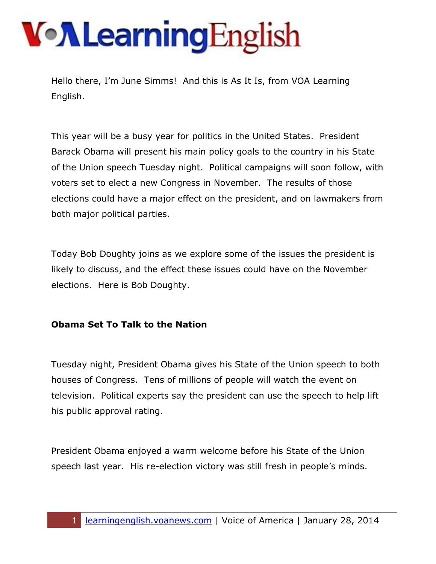Hello there, I'm June Simms! And this is As It Is, from VOA Learning English.

This year will be a busy year for politics in the United States. President Barack Obama will present his main policy goals to the country in his State of the Union speech Tuesday night. Political campaigns will soon follow, with voters set to elect a new Congress in November. The results of those elections could have a major effect on the president, and on lawmakers from both major political parties.

Today Bob Doughty joins as we explore some of the issues the president is likely to discuss, and the effect these issues could have on the November elections. Here is Bob Doughty.

#### **Obama Set To Talk to the Nation**

Tuesday night, President Obama gives his State of the Union speech to both houses of Congress. Tens of millions of people will watch the event on television. Political experts say the president can use the speech to help lift his public approval rating.

President Obama enjoyed a warm welcome before his State of the Union speech last year. His re-election victory was still fresh in people's minds.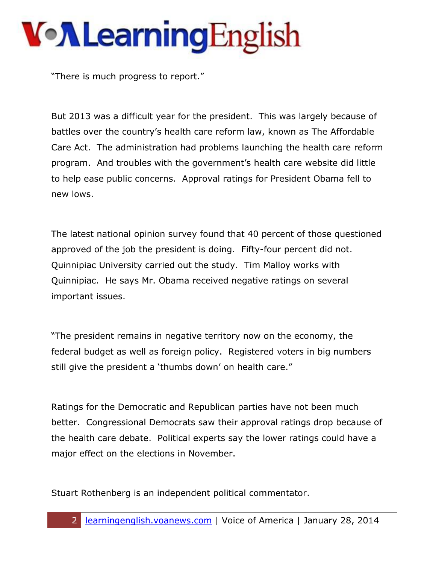"There is much progress to report."

But 2013 was a difficult year for the president. This was largely because of battles over the country's health care reform law, known as The Affordable Care Act. The administration had problems launching the health care reform program. And troubles with the government's health care website did little to help ease public concerns. Approval ratings for President Obama fell to new lows.

The latest national opinion survey found that 40 percent of those questioned approved of the job the president is doing. Fifty-four percent did not. Quinnipiac University carried out the study. Tim Malloy works with Quinnipiac. He says Mr. Obama received negative ratings on several important issues.

"The president remains in negative territory now on the economy, the federal budget as well as foreign policy. Registered voters in big numbers still give the president a 'thumbs down' on health care."

Ratings for the Democratic and Republican parties have not been much better. Congressional Democrats saw their approval ratings drop because of the health care debate. Political experts say the lower ratings could have a major effect on the elections in November.

Stuart Rothenberg is an independent political commentator.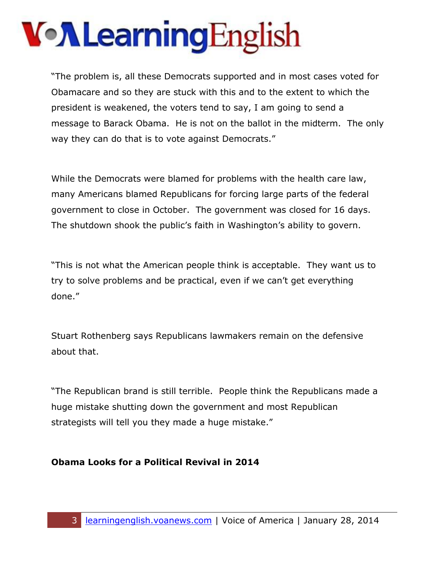"The problem is, all these Democrats supported and in most cases voted for Obamacare and so they are stuck with this and to the extent to which the president is weakened, the voters tend to say, I am going to send a message to Barack Obama. He is not on the ballot in the midterm. The only way they can do that is to vote against Democrats."

While the Democrats were blamed for problems with the health care law, many Americans blamed Republicans for forcing large parts of the federal government to close in October. The government was closed for 16 days. The shutdown shook the public's faith in Washington's ability to govern.

"This is not what the American people think is acceptable. They want us to try to solve problems and be practical, even if we can't get everything done."

Stuart Rothenberg says Republicans lawmakers remain on the defensive about that.

"The Republican brand is still terrible. People think the Republicans made a huge mistake shutting down the government and most Republican strategists will tell you they made a huge mistake."

#### **Obama Looks for a Political Revival in 2014**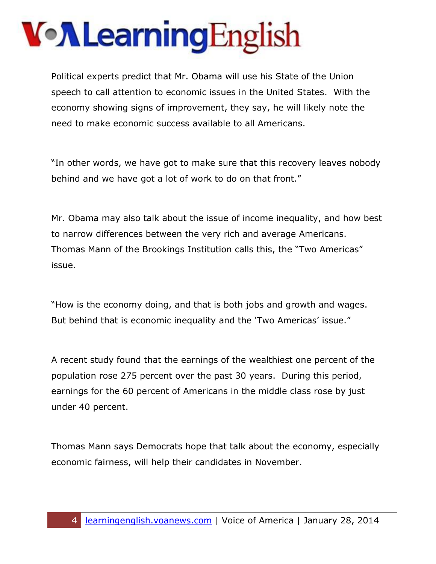## VollearningEnglish

Political experts predict that Mr. Obama will use his State of the Union speech to call attention to economic issues in the United States. With the economy showing signs of improvement, they say, he will likely note the need to make economic success available to all Americans.

"In other words, we have got to make sure that this recovery leaves nobody behind and we have got a lot of work to do on that front."

Mr. Obama may also talk about the issue of income inequality, and how best to narrow differences between the very rich and average Americans. Thomas Mann of the Brookings Institution calls this, the "Two Americas" issue.

"How is the economy doing, and that is both jobs and growth and wages. But behind that is economic inequality and the 'Two Americas' issue."

A recent study found that the earnings of the wealthiest one percent of the population rose 275 percent over the past 30 years. During this period, earnings for the 60 percent of Americans in the middle class rose by just under 40 percent.

Thomas Mann says Democrats hope that talk about the economy, especially economic fairness, will help their candidates in November.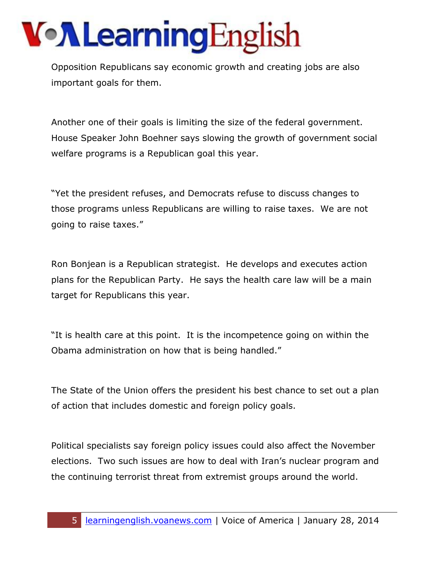Opposition Republicans say economic growth and creating jobs are also important goals for them.

Another one of their goals is limiting the size of the federal government. House Speaker John Boehner says slowing the growth of government social welfare programs is a Republican goal this year.

"Yet the president refuses, and Democrats refuse to discuss changes to those programs unless Republicans are willing to raise taxes. We are not going to raise taxes."

Ron Bonjean is a Republican strategist. He develops and executes action plans for the Republican Party. He says the health care law will be a main target for Republicans this year.

"It is health care at this point. It is the incompetence going on within the Obama administration on how that is being handled."

The State of the Union offers the president his best chance to set out a plan of action that includes domestic and foreign policy goals.

Political specialists say foreign policy issues could also affect the November elections. Two such issues are how to deal with Iran's nuclear program and the continuing terrorist threat from extremist groups around the world.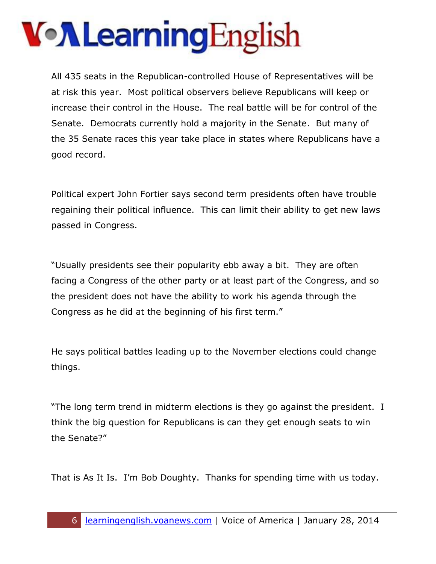## VollearningEnglish

All 435 seats in the Republican-controlled House of Representatives will be at risk this year. Most political observers believe Republicans will keep or increase their control in the House. The real battle will be for control of the Senate. Democrats currently hold a majority in the Senate. But many of the 35 Senate races this year take place in states where Republicans have a good record.

Political expert John Fortier says second term presidents often have trouble regaining their political influence. This can limit their ability to get new laws passed in Congress.

"Usually presidents see their popularity ebb away a bit. They are often facing a Congress of the other party or at least part of the Congress, and so the president does not have the ability to work his agenda through the Congress as he did at the beginning of his first term."

He says political battles leading up to the November elections could change things.

"The long term trend in midterm elections is they go against the president. I think the big question for Republicans is can they get enough seats to win the Senate?"

That is As It Is. I'm Bob Doughty. Thanks for spending time with us today.